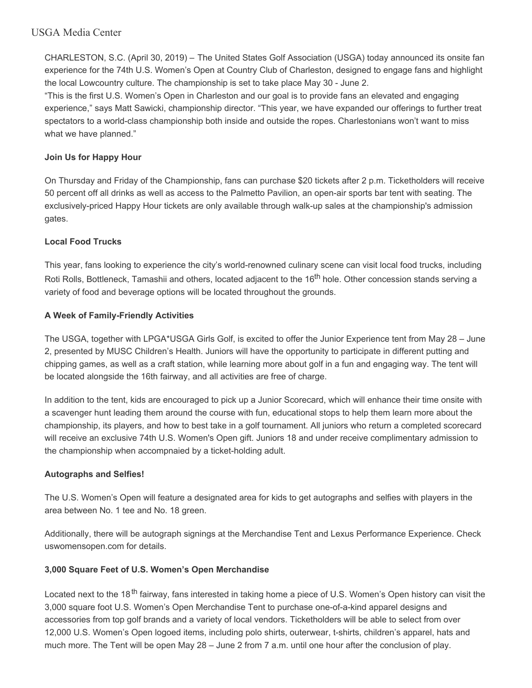# USGA Media Center

CHARLESTON, S.C. (April 30, 2019) – The United States Golf Association (USGA) today announced its onsite fan experience for the 74th U.S. Women's Open at Country Club of Charleston, designed to engage fans and highlight the local Lowcountry culture. The championship is set to take place May 30 - June 2.

"This is the first U.S. Women's Open in Charleston and our goal is to provide fans an elevated and engaging experience," says Matt Sawicki, championship director. "This year, we have expanded our offerings to further treat spectators to a world-class championship both inside and outside the ropes. Charlestonians won't want to miss what we have planned."

## **Join Us for Happy Hour**

On Thursday and Friday of the Championship, fans can purchase \$20 tickets after 2 p.m. Ticketholders will receive 50 percent off all drinks as well as access to the Palmetto Pavilion, an open-air sports bar tent with seating. The exclusively-priced Happy Hour tickets are only available through walk-up sales at the championship's admission gates.

## **Local Food Trucks**

This year, fans looking to experience the city's world-renowned culinary scene can visit local food trucks, including Roti Rolls, Bottleneck, Tamashii and others, located adjacent to the 16<sup>th</sup> hole. Other concession stands serving a variety of food and beverage options will be located throughout the grounds.

# **A Week of Family-Friendly Activities**

The USGA, together with LPGA\*USGA Girls Golf, is excited to offer the Junior Experience tent from May 28 – June 2, presented by MUSC Children's Health. Juniors will have the opportunity to participate in different putting and chipping games, as well as a craft station, while learning more about golf in a fun and engaging way. The tent will be located alongside the 16th fairway, and all activities are free of charge.

In addition to the tent, kids are encouraged to pick up a Junior Scorecard, which will enhance their time onsite with a scavenger hunt leading them around the course with fun, educational stops to help them learn more about the championship, its players, and how to best take in a golf tournament. All juniors who return a completed scorecard will receive an exclusive 74th U.S. Women's Open gift. Juniors 18 and under receive complimentary admission to the championship when accompnaied by a ticket-holding adult.

#### **Autographs and Selfies!**

The U.S. Women's Open will feature a designated area for kids to get autographs and selfies with players in the area between No. 1 tee and No. 18 green.

Additionally, there will be autograph signings at the Merchandise Tent and Lexus Performance Experience. Check uswomensopen.com for details.

#### **3,000 Square Feet of U.S. Women's Open Merchandise**

Located next to the 18<sup>th</sup> fairway, fans interested in taking home a piece of U.S. Women's Open history can visit the 3,000 square foot U.S. Women's Open Merchandise Tent to purchase one-of-a-kind apparel designs and accessories from top golf brands and a variety of local vendors. Ticketholders will be able to select from over 12,000 U.S. Women's Open logoed items, including polo shirts, outerwear, t-shirts, children's apparel, hats and much more. The Tent will be open May 28 – June 2 from 7 a.m. until one hour after the conclusion of play.